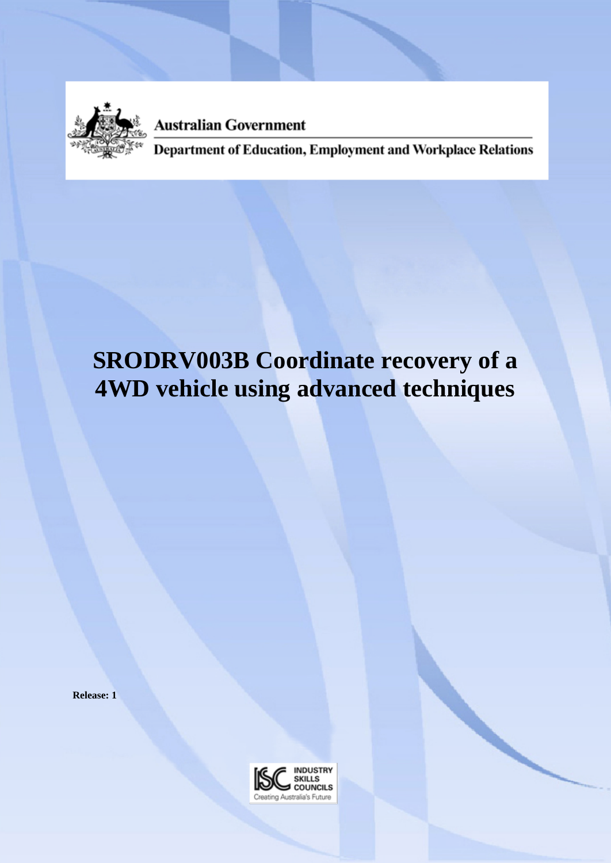

**Australian Government** 

Department of Education, Employment and Workplace Relations

# **SRODRV003B Coordinate recovery of a 4WD vehicle using advanced techniques**

**Release: 1**

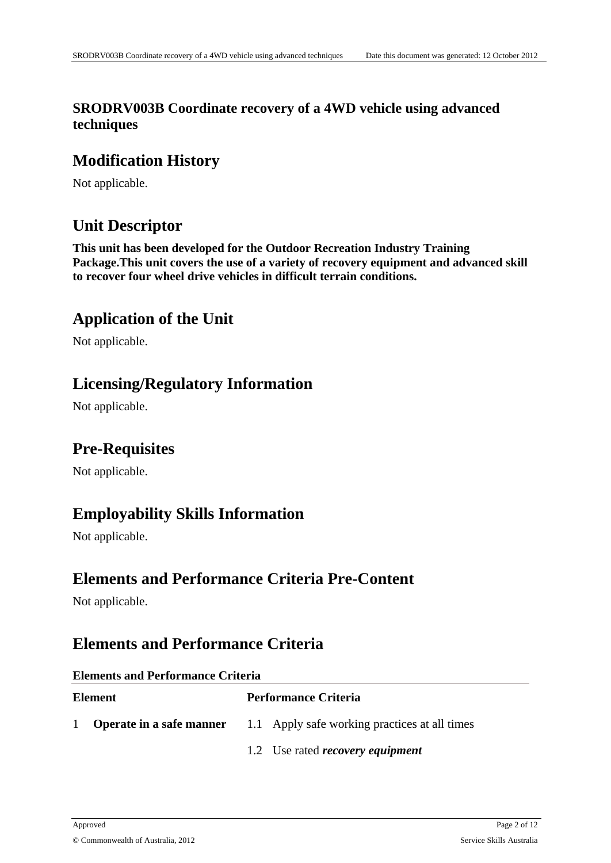#### **SRODRV003B Coordinate recovery of a 4WD vehicle using advanced techniques**

### **Modification History**

Not applicable.

# **Unit Descriptor**

**This unit has been developed for the Outdoor Recreation Industry Training Package.This unit covers the use of a variety of recovery equipment and advanced skill to recover four wheel drive vehicles in difficult terrain conditions.**

# **Application of the Unit**

Not applicable.

#### **Licensing/Regulatory Information**

Not applicable.

#### **Pre-Requisites**

Not applicable.

### **Employability Skills Information**

Not applicable.

#### **Elements and Performance Criteria Pre-Content**

Not applicable.

### **Elements and Performance Criteria**

#### **Elements and Performance Criteria**

| <b>Element</b> |  | <b>Performance Criteria</b>                                                   |  |  |
|----------------|--|-------------------------------------------------------------------------------|--|--|
| $\mathbf{1}$   |  | <b>Operate in a safe manner</b> 1.1 Apply safe working practices at all times |  |  |
|                |  | 1.2 Use rated <i>recovery equipment</i>                                       |  |  |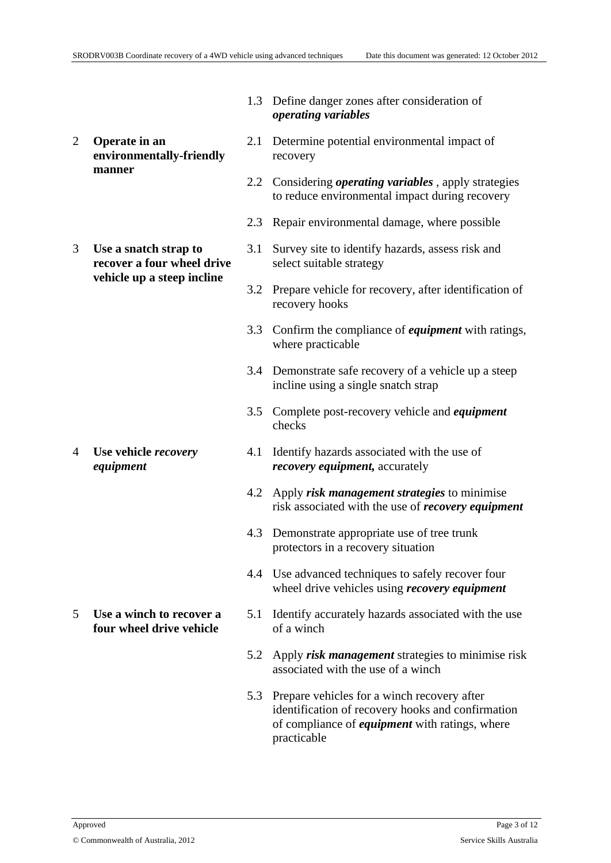2 **Operate in an environmentally-friendly manner**

3 **Use a snatch strap to recover a four wheel drive vehicle up a steep incline**

4 **Use vehicle** *recovery equipment*

5 **Use a winch to recover a four wheel drive vehicle**

- 1.3 Define danger zones after consideration of *operating variables*
- 2.1 Determine potential environmental impact of recovery
- 2.2 Considering *operating variables* , apply strategies to reduce environmental impact during recovery
- 2.3 Repair environmental damage, where possible
- 3.1 Survey site to identify hazards, assess risk and select suitable strategy
- 3.2 Prepare vehicle for recovery, after identification of recovery hooks
- 3.3 Confirm the compliance of *equipment* with ratings, where practicable
- 3.4 Demonstrate safe recovery of a vehicle up a steep incline using a single snatch strap
- 3.5 Complete post-recovery vehicle and *equipment* checks
- 4.1 Identify hazards associated with the use of *recovery equipment,* accurately
- 4.2 Apply *risk management strategies* to minimise risk associated with the use of *recovery equipment*
- 4.3 Demonstrate appropriate use of tree trunk protectors in a recovery situation
- 4.4 Use advanced techniques to safely recover four wheel drive vehicles using *recovery equipment*
- 5.1 Identify accurately hazards associated with the use of a winch
- 5.2 Apply *risk management* strategies to minimise risk associated with the use of a winch
- 5.3 Prepare vehicles for a winch recovery after identification of recovery hooks and confirmation of compliance of *equipment* with ratings, where practicable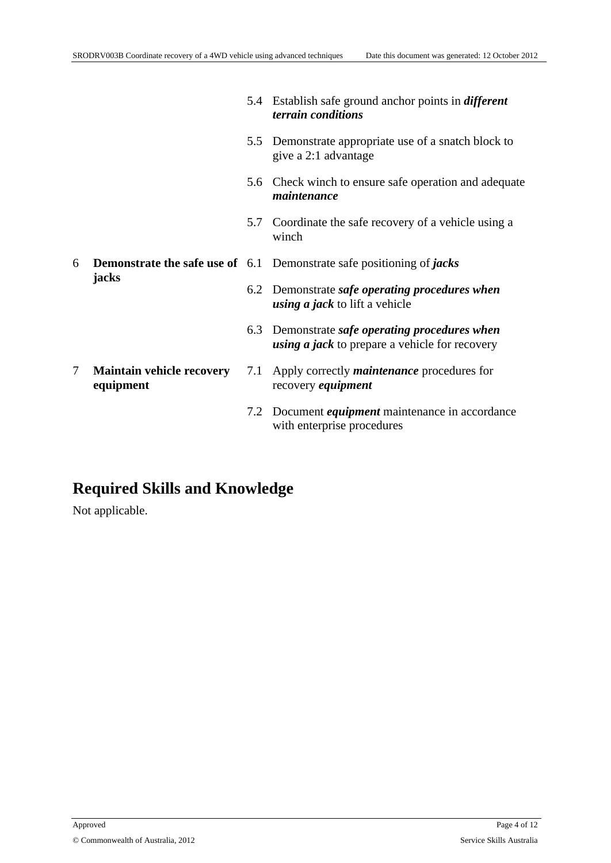5.4 Establish safe ground anchor points in *different*

*terrain conditions* 5.5 Demonstrate appropriate use of a snatch block to give a 2:1 advantage 5.6 Check winch to ensure safe operation and adequate *maintenance* 5.7 Coordinate the safe recovery of a vehicle using a winch 6 **Demonstrate the safe use of** 6.1 Demonstrate safe positioning of *jacks* 6.2 Demonstrate *safe operating procedures when using a jack* to lift a vehicle **jacks** 6.3 Demonstrate *safe operating procedures when using a jack* to prepare a vehicle for recovery 7.1 Apply correctly *maintenance* procedures for recovery *equipment* 7 **Maintain vehicle recovery equipment** 7.2 Document *equipment* maintenance in accordance

with enterprise procedures

### **Required Skills and Knowledge**

Not applicable.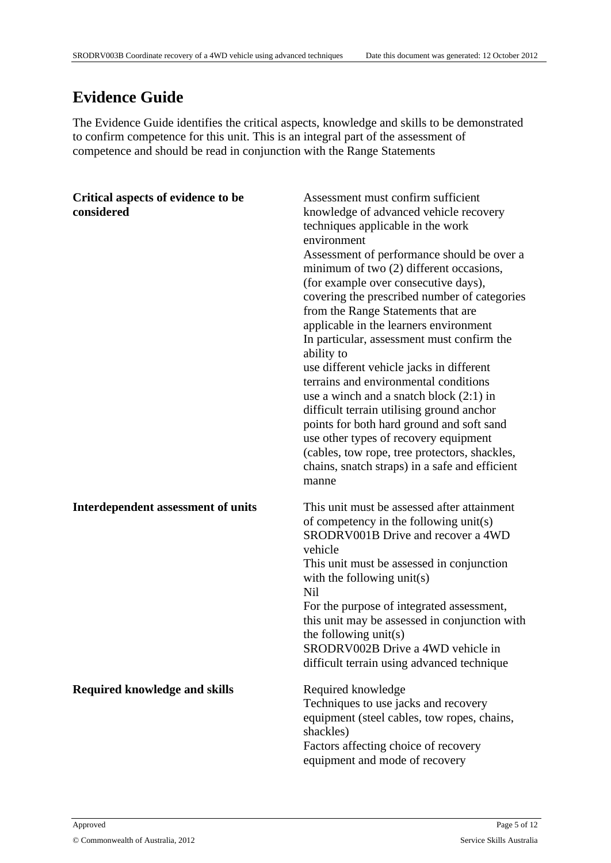# **Evidence Guide**

The Evidence Guide identifies the critical aspects, knowledge and skills to be demonstrated to confirm competence for this unit. This is an integral part of the assessment of competence and should be read in conjunction with the Range Statements

| Critical aspects of evidence to be<br>considered | Assessment must confirm sufficient<br>knowledge of advanced vehicle recovery<br>techniques applicable in the work<br>environment<br>Assessment of performance should be over a<br>minimum of two (2) different occasions,<br>(for example over consecutive days),<br>covering the prescribed number of categories<br>from the Range Statements that are<br>applicable in the learners environment<br>In particular, assessment must confirm the<br>ability to<br>use different vehicle jacks in different<br>terrains and environmental conditions<br>use a winch and a snatch block $(2:1)$ in<br>difficult terrain utilising ground anchor<br>points for both hard ground and soft sand<br>use other types of recovery equipment<br>(cables, tow rope, tree protectors, shackles,<br>chains, snatch straps) in a safe and efficient<br>manne |
|--------------------------------------------------|------------------------------------------------------------------------------------------------------------------------------------------------------------------------------------------------------------------------------------------------------------------------------------------------------------------------------------------------------------------------------------------------------------------------------------------------------------------------------------------------------------------------------------------------------------------------------------------------------------------------------------------------------------------------------------------------------------------------------------------------------------------------------------------------------------------------------------------------|
| Interdependent assessment of units               | This unit must be assessed after attainment<br>of competency in the following unit(s)<br>SRODRV001B Drive and recover a 4WD<br>vehicle<br>This unit must be assessed in conjunction<br>with the following unit(s)<br>Nil<br>For the purpose of integrated assessment,<br>this unit may be assessed in conjunction with<br>the following unit(s)<br>SRODRV002B Drive a 4WD vehicle in<br>difficult terrain using advanced technique                                                                                                                                                                                                                                                                                                                                                                                                             |
| <b>Required knowledge and skills</b>             | Required knowledge<br>Techniques to use jacks and recovery<br>equipment (steel cables, tow ropes, chains,<br>shackles)<br>Factors affecting choice of recovery<br>equipment and mode of recovery                                                                                                                                                                                                                                                                                                                                                                                                                                                                                                                                                                                                                                               |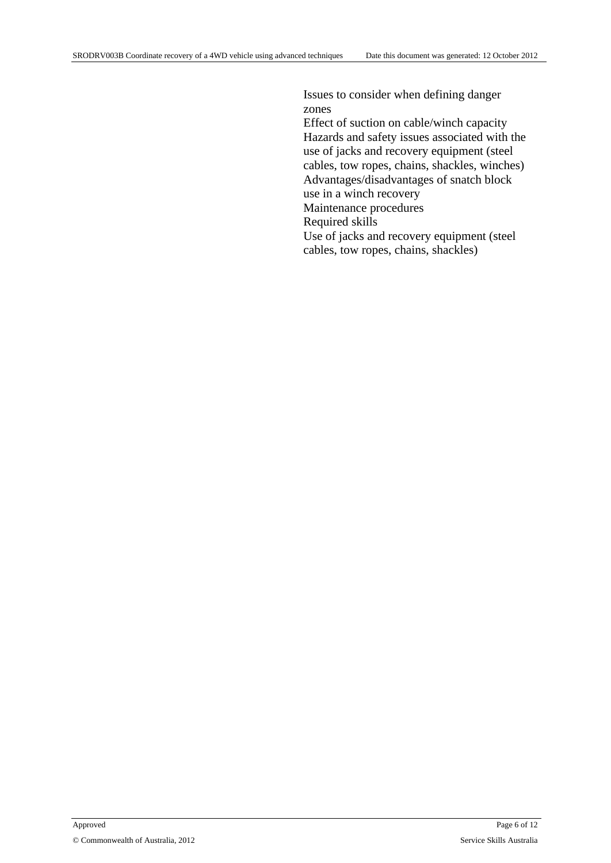Issues to consider when defining danger zones Effect of suction on cable/winch capacity Hazards and safety issues associated with the use of jacks and recovery equipment (steel cables, tow ropes, chains, shackles, winches) Advantages/disadvantages of snatch block use in a winch recovery Maintenance procedures Required skills Use of jacks and recovery equipment (steel cables, tow ropes, chains, shackles)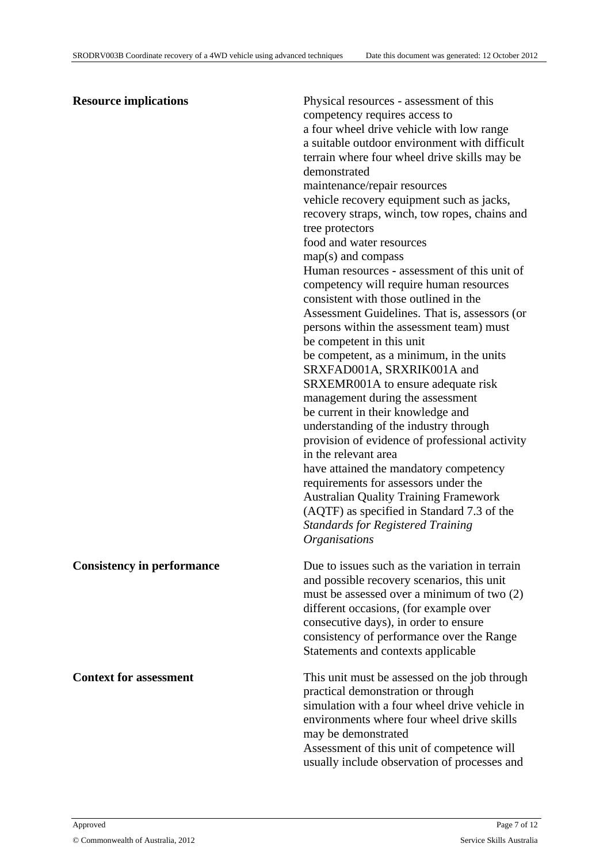#### **Resource implications** Physical resources - assessment of this

competency requires access to a four wheel drive vehicle with low range a suitable outdoor environment with difficult terrain where four wheel drive skills may be demonstrated maintenance/repair resources vehicle recovery equipment such as jacks, recovery straps, winch, tow ropes, chains and tree protectors food and water resources map(s) and compass Human resources - assessment of this unit of competency will require human resources consistent with those outlined in the Assessment Guidelines. That is, assessors (or persons within the assessment team) must be competent in this unit be competent, as a minimum, in the units SRXFAD001A, SRXRIK001A and SRXEMR001A to ensure adequate risk management during the assessment be current in their knowledge and understanding of the industry through provision of evidence of professional activity in the relevant area have attained the mandatory competency requirements for assessors under the Australian Quality Training Framework (AQTF) as specified in Standard 7.3 of the *Standards for Registered Training Organisations*

**Consistency in performance** Due to issues such as the variation in terrain and possible recovery scenarios, this unit must be assessed over a minimum of two (2) different occasions, (for example over consecutive days), in order to ensure consistency of performance over the Range Statements and contexts applicable **Context for assessment** This unit must be assessed on the job through practical demonstration or through simulation with a four wheel drive vehicle in environments where four wheel drive skills may be demonstrated Assessment of this unit of competence will

usually include observation of processes and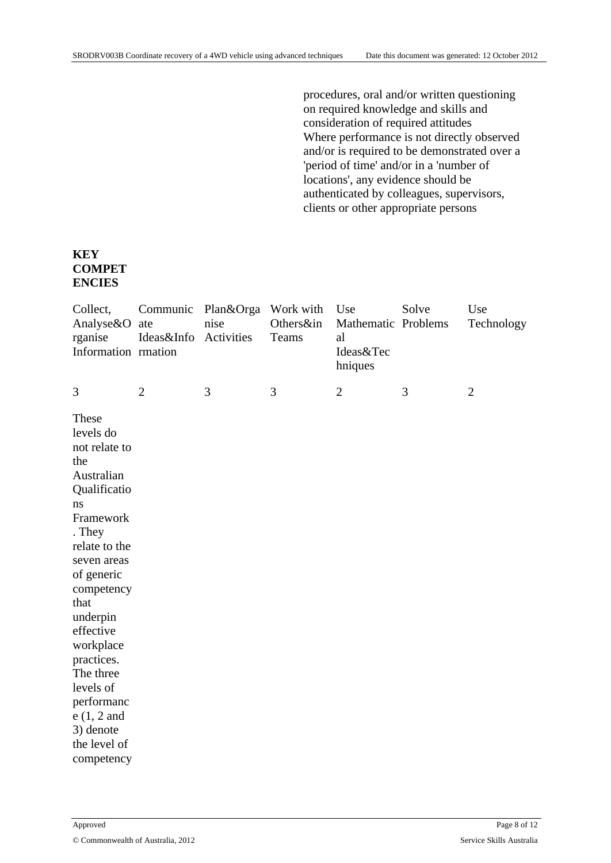procedures, oral and/or written questioning on required knowledge and skills and consideration of required attitudes Where performance is not directly observed and/or is required to be demonstrated over a 'period of time' and/or in a 'number of locations', any evidence should be authenticated by colleagues, supervisors, clients or other appropriate persons

#### **KEY COMPET ENCIES**

| Collect,<br>Analyse&O<br>rganise<br>Information rmation                                                                                                                                                                                                                                                                          | Communic<br>ate<br>Ideas&Info | Plan&Orga<br>nise<br>Activities | Work with<br>Others∈<br>Teams | Use<br>Mathematic Problems<br>al<br>Ideas&Tec<br>hniques | Solve | Use<br>Technology |
|----------------------------------------------------------------------------------------------------------------------------------------------------------------------------------------------------------------------------------------------------------------------------------------------------------------------------------|-------------------------------|---------------------------------|-------------------------------|----------------------------------------------------------|-------|-------------------|
| 3                                                                                                                                                                                                                                                                                                                                | $\overline{2}$                | 3                               | 3                             | $\overline{2}$                                           | 3     | $\overline{2}$    |
| These<br>levels do<br>not relate to<br>the<br>Australian<br>Qualificatio<br>ns<br>Framework<br>. They<br>relate to the<br>seven areas<br>of generic<br>competency<br>that<br>underpin<br>effective<br>workplace<br>practices.<br>The three<br>levels of<br>performanc<br>$e(1, 2$ and<br>3) denote<br>the level of<br>competency |                               |                                 |                               |                                                          |       |                   |
|                                                                                                                                                                                                                                                                                                                                  |                               |                                 |                               |                                                          |       |                   |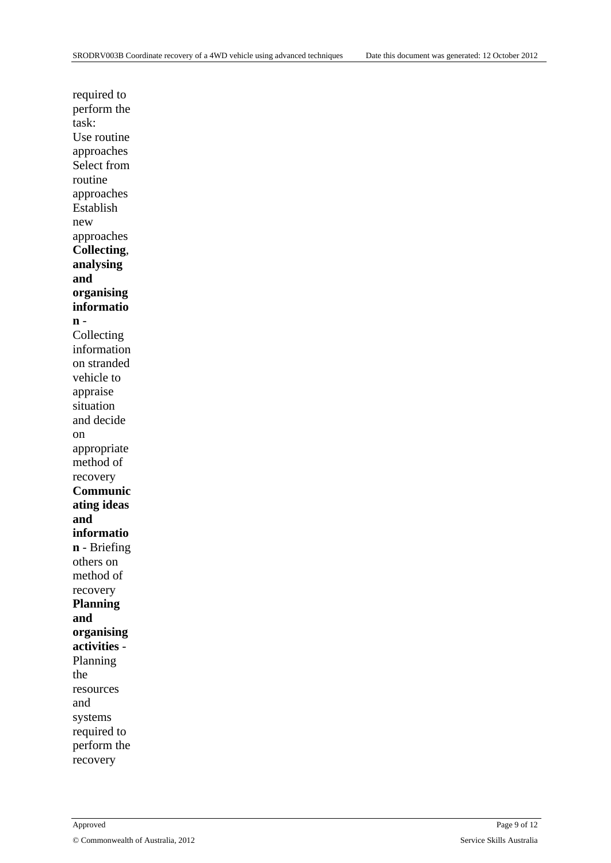required to perform the task: Use routine approaches Select from routine approaches Establish new approaches **Collecting**, **analysing and organising informatio n** - Collecting information on stranded vehicle to appraise situation and decide on appropriate method of recovery **Communic ating ideas and informatio n** - Briefing others on method of recovery **Planning and organising activities** - Planning the resources and systems required to perform the recovery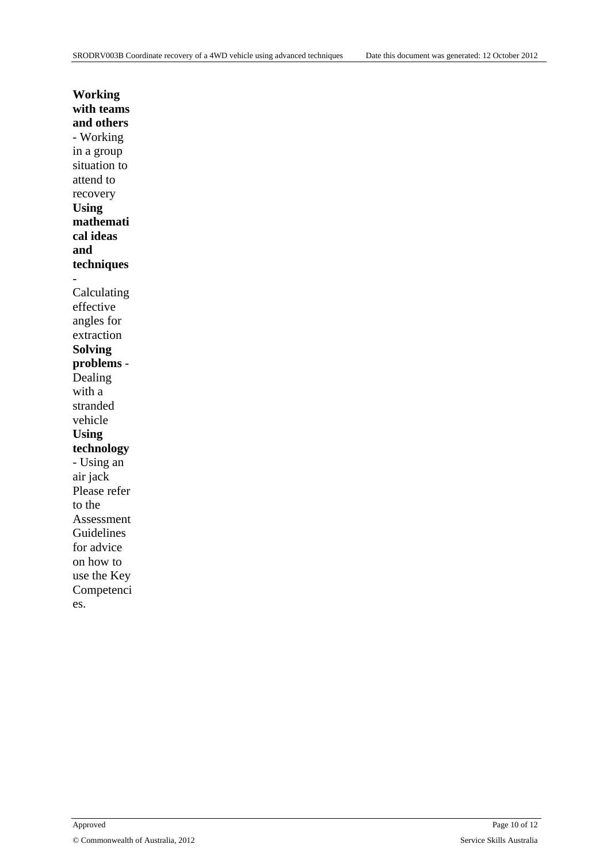| Working        |
|----------------|
| with teams     |
| and others     |
| - Working      |
| in a group     |
| situation to   |
| attend to      |
| recovery       |
| <b>Using</b>   |
| mathemati      |
| cal ideas      |
| and            |
| techniques     |
|                |
| Calculating    |
| effective      |
| angles for     |
| extraction     |
| <b>Solving</b> |
| problems -     |
| Dealing        |
| with a         |
| stranded       |
| vehicle        |
| <b>Using</b>   |
| technology     |
| - Using an     |
| air jack       |
| Please refer   |
| to the         |
| Assessment     |
| Guidelines     |
| for advice     |
| on how to      |
| use the Key    |
| Competenci     |
| es.            |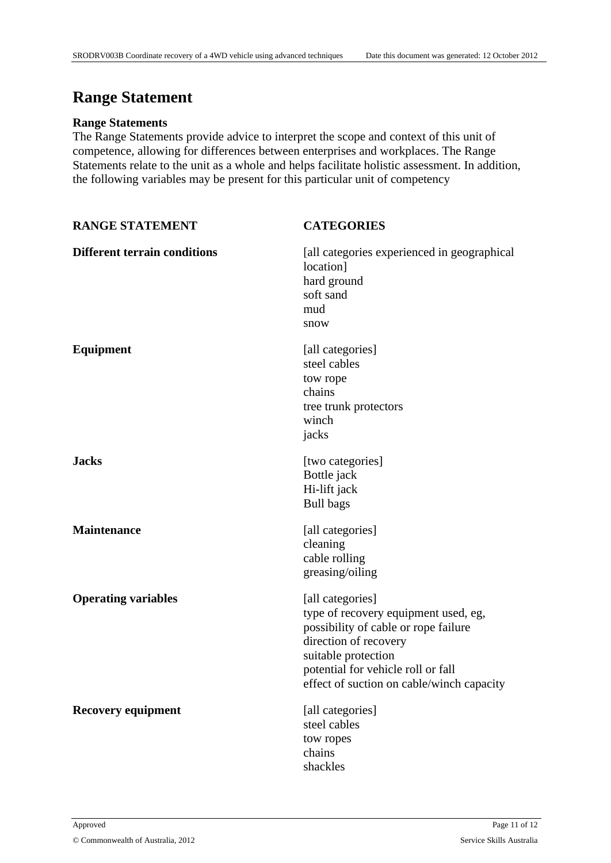### **Range Statement**

#### **Range Statements**

The Range Statements provide advice to interpret the scope and context of this unit of competence, allowing for differences between enterprises and workplaces. The Range Statements relate to the unit as a whole and helps facilitate holistic assessment. In addition, the following variables may be present for this particular unit of competency

| <b>RANGE STATEMENT</b>              | <b>CATEGORIES</b>                                                                                                                                                                                                                   |
|-------------------------------------|-------------------------------------------------------------------------------------------------------------------------------------------------------------------------------------------------------------------------------------|
| <b>Different terrain conditions</b> | [all categories experienced in geographical]<br>location]<br>hard ground<br>soft sand<br>mud<br>snow                                                                                                                                |
| <b>Equipment</b>                    | [all categories]<br>steel cables<br>tow rope<br>chains<br>tree trunk protectors<br>winch<br>jacks                                                                                                                                   |
| <b>Jacks</b>                        | [two categories]<br>Bottle jack<br>Hi-lift jack<br><b>Bull bags</b>                                                                                                                                                                 |
| <b>Maintenance</b>                  | [all categories]<br>cleaning<br>cable rolling<br>greasing/oiling                                                                                                                                                                    |
| <b>Operating variables</b>          | [all categories]<br>type of recovery equipment used, eg,<br>possibility of cable or rope failure<br>direction of recovery<br>suitable protection<br>potential for vehicle roll or fall<br>effect of suction on cable/winch capacity |
| Recovery equipment                  | [all categories]<br>steel cables<br>tow ropes<br>chains<br>shackles                                                                                                                                                                 |